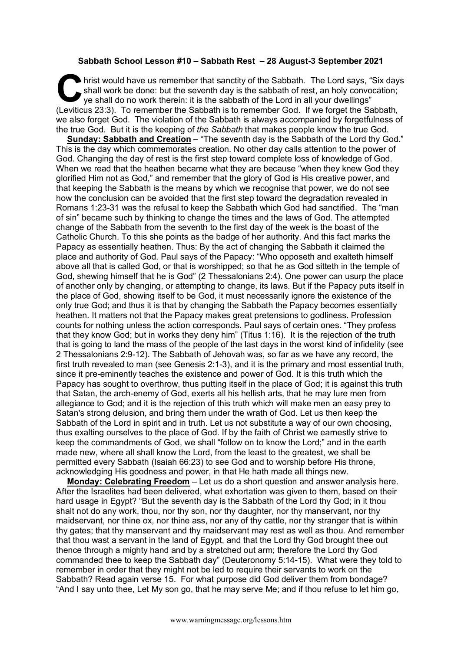## **Sabbath School Lesson #10 – Sabbath Rest – 28 August-3 September 2021**

hrist would have us remember that sanctity of the Sabbath. The Lord says, "Six days shall work be done: but the seventh day is the sabbath of rest, an holy convocation; ye shall do no work therein: it is the sabbath of the Lord in all your dwellings" I hrist would have us remember that sanctity of the Sabbath. The Lord says, "Six day shall work be done: but the seventh day is the sabbath of rest, an holy convocation; ye shall do no work therein: it is the sabbath of th we also forget God. The violation of the Sabbath is always accompanied by forgetfulness of the true God. But it is the keeping of *the Sabbath* that makes people know the true God.

**Sunday: Sabbath and Creation** – "The seventh day is the Sabbath of the Lord thy God." This is the day which commemorates creation. No other day calls attention to the power of God. Changing the day of rest is the first step toward complete loss of knowledge of God. When we read that the heathen became what they are because "when they knew God they glorified Him not as God," and remember that the glory of God is His creative power, and that keeping the Sabbath is the means by which we recognise that power, we do not see how the conclusion can be avoided that the first step toward the degradation revealed in Romans 1:23-31 was the refusal to keep the Sabbath which God had sanctified. The "man of sin" became such by thinking to change the times and the laws of God. The attempted change of the Sabbath from the seventh to the first day of the week is the boast of the Catholic Church. To this she points as the badge of her authority. And this fact marks the Papacy as essentially heathen. Thus: By the act of changing the Sabbath it claimed the place and authority of God. Paul says of the Papacy: "Who opposeth and exalteth himself above all that is called God, or that is worshipped; so that he as God sitteth in the temple of God, shewing himself that he is God" (2 Thessalonians 2:4). One power can usurp the place of another only by changing, or attempting to change, its laws. But if the Papacy puts itself in the place of God, showing itself to be God, it must necessarily ignore the existence of the only true God; and thus it is that by changing the Sabbath the Papacy becomes essentially heathen. It matters not that the Papacy makes great pretensions to godliness. Profession counts for nothing unless the action corresponds. Paul says of certain ones. "They profess that they know God; but in works they deny him" (Titus 1:16). It is the rejection of the truth that is going to land the mass of the people of the last days in the worst kind of infidelity (see 2 Thessalonians 2:9-12). The Sabbath of Jehovah was, so far as we have any record, the first truth revealed to man (see Genesis 2:1-3), and it is the primary and most essential truth, since it pre-eminently teaches the existence and power of God. It is this truth which the Papacy has sought to overthrow, thus putting itself in the place of God; it is against this truth that Satan, the arch-enemy of God, exerts all his hellish arts, that he may lure men from allegiance to God; and it is the rejection of this truth which will make men an easy prey to Satan's strong delusion, and bring them under the wrath of God. Let us then keep the Sabbath of the Lord in spirit and in truth. Let us not substitute a way of our own choosing, thus exalting ourselves to the place of God. If by the faith of Christ we earnestly strive to keep the commandments of God, we shall "follow on to know the Lord;" and in the earth made new, where all shall know the Lord, from the least to the greatest, we shall be permitted every Sabbath (Isaiah 66:23) to see God and to worship before His throne, acknowledging His goodness and power, in that He hath made all things new.

**Monday: Celebrating Freedom** – Let us do a short question and answer analysis here. After the Israelites had been delivered, what exhortation was given to them, based on their hard usage in Egypt? "But the seventh day is the Sabbath of the Lord thy God; in it thou shalt not do any work, thou, nor thy son, nor thy daughter, nor thy manservant, nor thy maidservant, nor thine ox, nor thine ass, nor any of thy cattle, nor thy stranger that is within thy gates; that thy manservant and thy maidservant may rest as well as thou. And remember that thou wast a servant in the land of Egypt, and that the Lord thy God brought thee out thence through a mighty hand and by a stretched out arm; therefore the Lord thy God commanded thee to keep the Sabbath day" (Deuteronomy 5:14-15). What were they told to remember in order that they might not be led to require their servants to work on the Sabbath? Read again verse 15. For what purpose did God deliver them from bondage? "And I say unto thee, Let My son go, that he may serve Me; and if thou refuse to let him go,